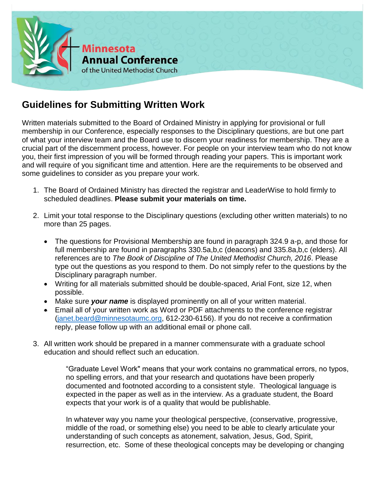

## **Guidelines for Submitting Written Work**

Written materials submitted to the Board of Ordained Ministry in applying for provisional or full membership in our Conference, especially responses to the Disciplinary questions, are but one part of what your interview team and the Board use to discern your readiness for membership. They are a crucial part of the discernment process, however. For people on your interview team who do not know you, their first impression of you will be formed through reading your papers. This is important work and will require of you significant time and attention. Here are the requirements to be observed and some guidelines to consider as you prepare your work.

- 1. The Board of Ordained Ministry has directed the registrar and LeaderWise to hold firmly to scheduled deadlines. **Please submit your materials on time.**
- 2. Limit your total response to the Disciplinary questions (excluding other written materials) to no more than 25 pages.
	- The questions for Provisional Membership are found in paragraph 324.9 a-p, and those for full membership are found in paragraphs 330.5a,b,c (deacons) and 335.8a,b,c (elders). All references are to *The Book of Discipline of The United Methodist Church, 2016*. Please type out the questions as you respond to them. Do not simply refer to the questions by the Disciplinary paragraph number.
	- Writing for all materials submitted should be double-spaced, Arial Font, size 12, when possible.
	- Make sure *your name* is displayed prominently on all of your written material.
	- Email all of your written work as Word or PDF attachments to the conference registrar [\(janet.beard@minnesotaumc.org,](mailto:janet.beard@minnesotaumc.org) 612-230-6156). If you do not receive a confirmation reply, please follow up with an additional email or phone call.
- 3. All written work should be prepared in a manner commensurate with a graduate school education and should reflect such an education.

"Graduate Level Work" means that your work contains no grammatical errors, no typos, no spelling errors, and that your research and quotations have been properly documented and footnoted according to a consistent style. Theological language is expected in the paper as well as in the interview. As a graduate student, the Board expects that your work is of a quality that would be publishable.

In whatever way you name your theological perspective, (conservative, progressive, middle of the road, or something else) you need to be able to clearly articulate your understanding of such concepts as atonement, salvation, Jesus, God, Spirit, resurrection, etc. Some of these theological concepts may be developing or changing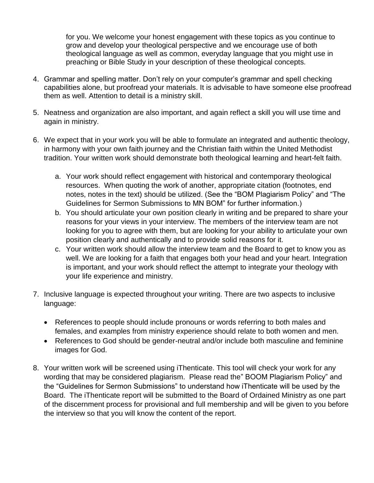for you. We welcome your honest engagement with these topics as you continue to grow and develop your theological perspective and we encourage use of both theological language as well as common, everyday language that you might use in preaching or Bible Study in your description of these theological concepts.

- 4. Grammar and spelling matter. Don't rely on your computer's grammar and spell checking capabilities alone, but proofread your materials. It is advisable to have someone else proofread them as well. Attention to detail is a ministry skill.
- 5. Neatness and organization are also important, and again reflect a skill you will use time and again in ministry.
- 6. We expect that in your work you will be able to formulate an integrated and authentic theology, in harmony with your own faith journey and the Christian faith within the United Methodist tradition. Your written work should demonstrate both theological learning and heart-felt faith.
	- a. Your work should reflect engagement with historical and contemporary theological resources. When quoting the work of another, appropriate citation (footnotes, end notes, notes in the text) should be utilized. (See the "BOM Plagiarism Policy" and "The Guidelines for Sermon Submissions to MN BOM" for further information.)
	- b. You should articulate your own position clearly in writing and be prepared to share your reasons for your views in your interview. The members of the interview team are not looking for you to agree with them, but are looking for your ability to articulate your own position clearly and authentically and to provide solid reasons for it.
	- c. Your written work should allow the interview team and the Board to get to know you as well. We are looking for a faith that engages both your head and your heart. Integration is important, and your work should reflect the attempt to integrate your theology with your life experience and ministry.
- 7. Inclusive language is expected throughout your writing. There are two aspects to inclusive language:
	- References to people should include pronouns or words referring to both males and females, and examples from ministry experience should relate to both women and men.
	- References to God should be gender-neutral and/or include both masculine and feminine images for God.
- 8. Your written work will be screened using iThenticate. This tool will check your work for any wording that may be considered plagiarism. Please read the" BOOM Plagiarism Policy" and the "Guidelines for Sermon Submissions" to understand how iThenticate will be used by the Board. The iThenticate report will be submitted to the Board of Ordained Ministry as one part of the discernment process for provisional and full membership and will be given to you before the interview so that you will know the content of the report.